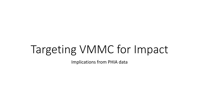# Targeting VMMC for Impact

Implications from PHIA data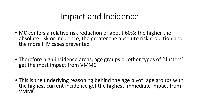### Impact and Incidence

- MC confers a relative risk reduction of about 60%; the higher the absolute risk or incidence, the greater the absolute risk reduction and the more HIV cases prevented
- Therefore high-incidence areas, age groups or other types of 'clusters' get the most impact from VMMC
- This is the underlying reasoning behind the age pivot: age groups with the highest current incidence get the highest immediate impact from VMMC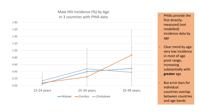#### Male HIV Incidence (%) by Age in 3 countries with PHIA data



- PHIAs provide the first directly measured (not modelled) incidence data by age
- Clear trend by age: very low incidence in most of age pivot range, increasing substantially with **greater** age
- But error bars for individual countries overlap between countries and age bands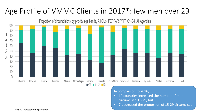#### Age Profile of VMMC Clients in 2017\*: few men over 29



In comparison to 2016,

- 10 countries increased the number of men circumcised 15-29, but
- 7 decreased the proportion of 15-29 circumcised

\*IAS 2018 poster to be presented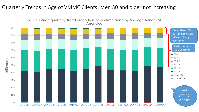#### Quarterly Trends in Age of VMMC Clients: Men 30 and older not increasing

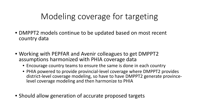## Modeling coverage for targeting

- DMPPT2 models continue to be updated based on most recent country data
- Working with PEPFAR and Avenir colleagues to get DMPPT2 assumptions harmonized with PHIA coverage data
	- Encourage country teams to ensure the same is done in each country
	- PHIA powered to provide provincial-level coverage where DMPPT2 provides district-level coverage modeling, so have to have DMPPT2 generate province- level coverage modeling and then harmonize to PHIA
- Should allow generation of accurate proposed targets